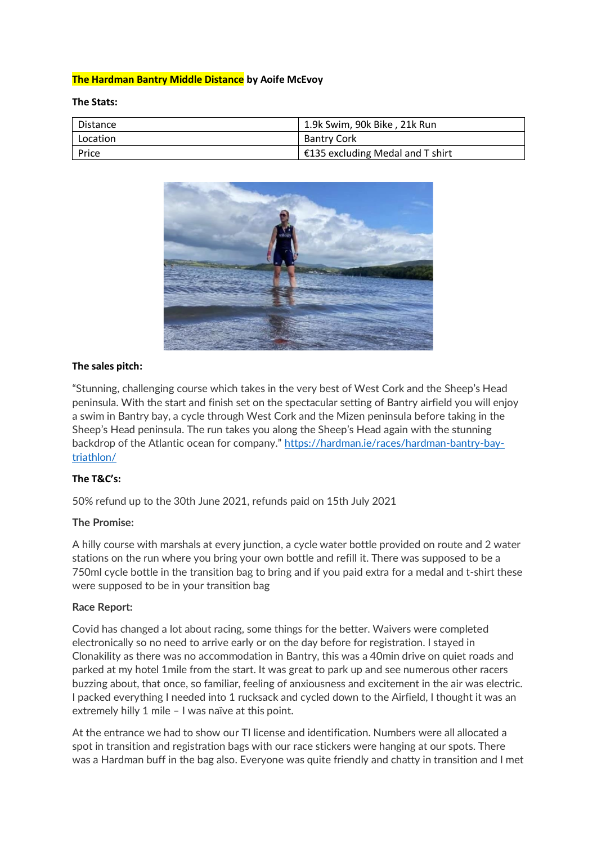# **The Hardman Bantry Middle Distance by Aoife McEvoy**

**The Stats:**

| l Distance | 1.9k Swim, 90k Bike, 21k Run     |
|------------|----------------------------------|
| Location   | <b>Bantry Cork</b>               |
| Price      | €135 excluding Medal and T shirt |



### **The sales pitch:**

"Stunning, challenging course which takes in the very best of West Cork and the Sheep's Head peninsula. With the start and finish set on the spectacular setting of Bantry airfield you will enjoy a swim in Bantry bay, a cycle through West Cork and the Mizen peninsula before taking in the Sheep's Head peninsula. The run takes you along the Sheep's Head again with the stunning backdrop of the Atlantic ocean for company." [https://hardman.ie/races/hardman-bantry-bay](https://hardman.ie/races/hardman-bantry-bay-triathlon/)[triathlon/](https://hardman.ie/races/hardman-bantry-bay-triathlon/)

### **The T&C's:**

50% refund up to the 30th June 2021, refunds paid on 15th July 2021

### **The Promise:**

A hilly course with marshals at every junction, a cycle water bottle provided on route and 2 water stations on the run where you bring your own bottle and refill it. There was supposed to be a 750ml cycle bottle in the transition bag to bring and if you paid extra for a medal and t-shirt these were supposed to be in your transition bag

#### **Race Report:**

Covid has changed a lot about racing, some things for the better. Waivers were completed electronically so no need to arrive early or on the day before for registration. I stayed in Clonakility as there was no accommodation in Bantry, this was a 40min drive on quiet roads and parked at my hotel 1mile from the start. It was great to park up and see numerous other racers buzzing about, that once, so familiar, feeling of anxiousness and excitement in the air was electric. I packed everything I needed into 1 rucksack and cycled down to the Airfield, I thought it was an extremely hilly 1 mile – I was naïve at this point.

At the entrance we had to show our TI license and identification. Numbers were all allocated a spot in transition and registration bags with our race stickers were hanging at our spots. There was a Hardman buff in the bag also. Everyone was quite friendly and chatty in transition and I met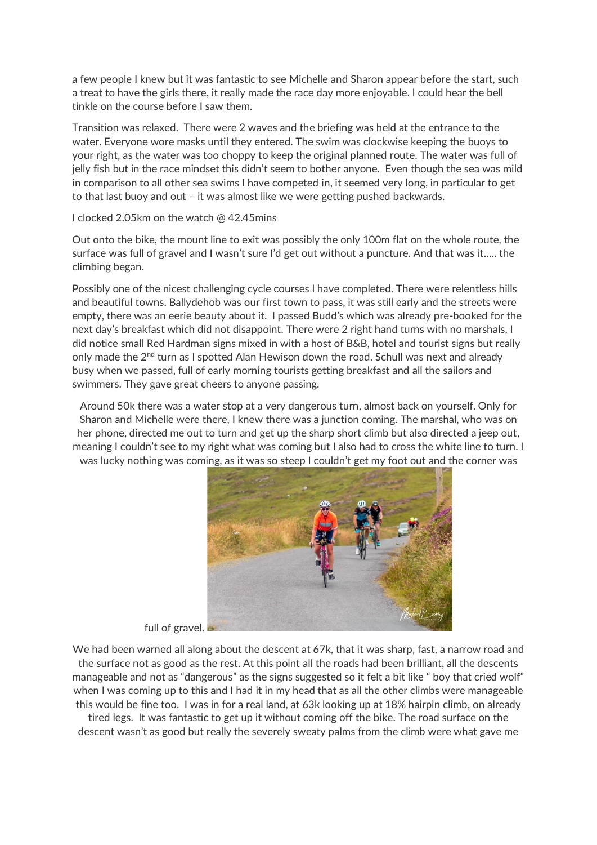a few people I knew but it was fantastic to see Michelle and Sharon appear before the start, such a treat to have the girls there, it really made the race day more enjoyable. I could hear the bell tinkle on the course before I saw them.

Transition was relaxed. There were 2 waves and the briefing was held at the entrance to the water. Everyone wore masks until they entered. The swim was clockwise keeping the buoys to your right, as the water was too choppy to keep the original planned route. The water was full of jelly fish but in the race mindset this didn't seem to bother anyone. Even though the sea was mild in comparison to all other sea swims I have competed in, it seemed very long, in particular to get to that last buoy and out – it was almost like we were getting pushed backwards.

I clocked 2.05km on the watch @ 42.45mins

Out onto the bike, the mount line to exit was possibly the only 100m flat on the whole route, the surface was full of gravel and I wasn't sure I'd get out without a puncture. And that was it….. the climbing began.

Possibly one of the nicest challenging cycle courses I have completed. There were relentless hills and beautiful towns. Ballydehob was our first town to pass, it was still early and the streets were empty, there was an eerie beauty about it. I passed Budd's which was already pre-booked for the next day's breakfast which did not disappoint. There were 2 right hand turns with no marshals, I did notice small Red Hardman signs mixed in with a host of B&B, hotel and tourist signs but really only made the  $2^{nd}$  turn as I spotted Alan Hewison down the road. Schull was next and already busy when we passed, full of early morning tourists getting breakfast and all the sailors and swimmers. They gave great cheers to anyone passing.

Around 50k there was a water stop at a very dangerous turn, almost back on yourself. Only for Sharon and Michelle were there, I knew there was a junction coming. The marshal, who was on her phone, directed me out to turn and get up the sharp short climb but also directed a jeep out, meaning I couldn't see to my right what was coming but I also had to cross the white line to turn. I was lucky nothing was coming, as it was so steep I couldn't get my foot out and the corner was



full of gravel.

We had been warned all along about the descent at 67k, that it was sharp, fast, a narrow road and the surface not as good as the rest. At this point all the roads had been brilliant, all the descents manageable and not as "dangerous" as the signs suggested so it felt a bit like " boy that cried wolf" when I was coming up to this and I had it in my head that as all the other climbs were manageable this would be fine too. I was in for a real land, at 63k looking up at 18% hairpin climb, on already tired legs. It was fantastic to get up it without coming off the bike. The road surface on the descent wasn't as good but really the severely sweaty palms from the climb were what gave me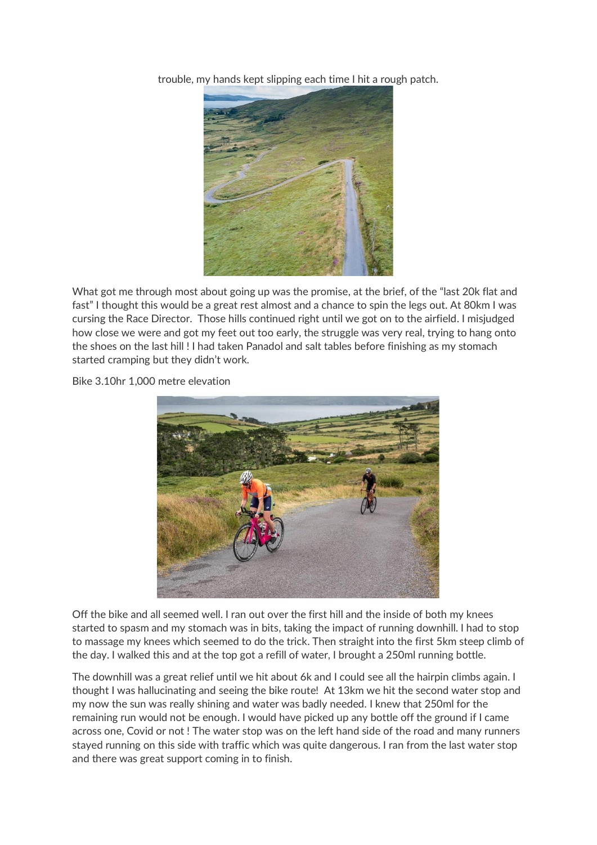trouble, my hands kept slipping each time I hit a rough patch.



What got me through most about going up was the promise, at the brief, of the "last 20k flat and fast" I thought this would be a great rest almost and a chance to spin the legs out. At 80km I was cursing the Race Director. Those hills continued right until we got on to the airfield. I misjudged how close we were and got my feet out too early, the struggle was very real, trying to hang onto the shoes on the last hill ! I had taken Panadol and salt tables before finishing as my stomach started cramping but they didn't work.

Bike 3.10hr 1,000 metre elevation



Off the bike and all seemed well. I ran out over the first hill and the inside of both my knees started to spasm and my stomach was in bits, taking the impact of running downhill. I had to stop to massage my knees which seemed to do the trick. Then straight into the first 5km steep climb of the day. I walked this and at the top got a refill of water, I brought a 250ml running bottle.

The downhill was a great relief until we hit about 6k and I could see all the hairpin climbs again. I thought I was hallucinating and seeing the bike route! At 13km we hit the second water stop and my now the sun was really shining and water was badly needed. I knew that 250ml for the remaining run would not be enough. I would have picked up any bottle off the ground if I came across one, Covid or not ! The water stop was on the left hand side of the road and many runners stayed running on this side with traffic which was quite dangerous. I ran from the last water stop and there was great support coming in to finish.